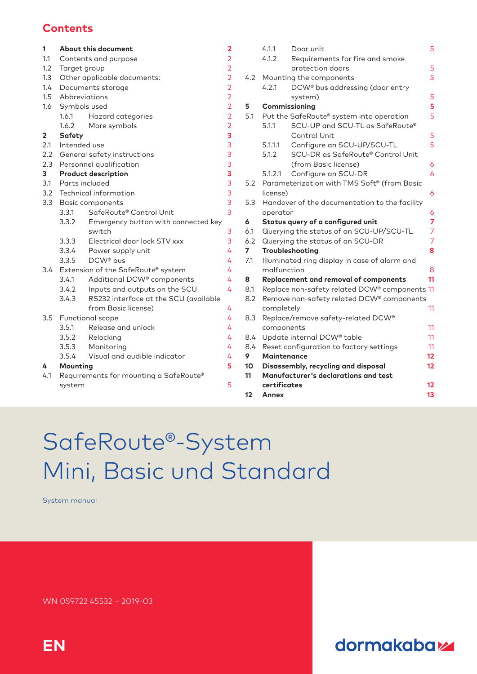### **Contents**

| 1.             |                                                  | About this document                    | $\overline{2}$ |                                        | 4.1.1                                    | Door unit                                                   | 5              |
|----------------|--------------------------------------------------|----------------------------------------|----------------|----------------------------------------|------------------------------------------|-------------------------------------------------------------|----------------|
| 1.1            |                                                  | Contents and purpose                   | $\overline{2}$ |                                        | 4.1.2<br>Requirements for fire and smoke |                                                             |                |
| 1.2            | Target group                                     |                                        | $\overline{2}$ |                                        |                                          | protection doors                                            | 5              |
| 1.3            |                                                  | Other applicable documents:            | $\overline{2}$ |                                        |                                          | 4.2 Mounting the components                                 | 5              |
| 1.4            |                                                  | Documents storage                      | $\overline{2}$ |                                        | 4.2.1                                    | DCW <sup>®</sup> bus addressing (door entry                 |                |
| 1.5            | Abbreviations                                    |                                        | $\overline{2}$ |                                        |                                          | system)                                                     | 5              |
| 1.6            | Symbols used                                     |                                        | $\overline{2}$ | 5.                                     |                                          | Commissioning                                               | 5              |
|                | 1.6.1                                            | Hazard categories                      | $\overline{2}$ | 5.1                                    |                                          | Put the SafeRoute® system into operation                    | 5              |
|                | 1.6.2                                            | More symbols                           | $\overline{2}$ |                                        | 5.1.1                                    | SCU-UP and SCU-TL as SafeRoute®                             |                |
| $\overline{2}$ | Safety                                           |                                        | 3              |                                        |                                          | <b>Control Unit</b>                                         | 5              |
| 2.1            | Intended use                                     |                                        | 3              |                                        | 5.1.1.1                                  | Configure an SCU-UP/SCU-TL                                  | 5              |
| $2.2^{\circ}$  |                                                  | General safety instructions            | 3              |                                        | 5.1.2                                    | SCU-DR as SafeRoute® Control Unit                           |                |
| 2.3            |                                                  | Personnel qualification                | 3              |                                        |                                          | (from Basic license)                                        | 6              |
| 3              |                                                  | <b>Product description</b>             | 3              |                                        | 5.1.2.1                                  | Configure an SCU-DR                                         | 6              |
| 3.1            | Parts included                                   |                                        | 3              |                                        |                                          | 5.2 Parameterization with TMS Soft <sup>®</sup> (from Basic |                |
| 3.2            |                                                  | Technical information                  | 3              |                                        | license)                                 |                                                             | 6              |
| 3.3            |                                                  | <b>Basic components</b>                | 3              |                                        |                                          | 5.3 Handover of the documentation to the facility           |                |
|                | 3.3.1                                            | SafeRoute® Control Unit                | 3              |                                        | operator                                 |                                                             | 6              |
|                | 3.3.2                                            | Emergency button with connected key    |                | 6                                      |                                          | Status query of a configured unit                           | $\overline{7}$ |
|                |                                                  | switch                                 | 3              | 6.1                                    |                                          | Querying the status of an SCU-UP/SCU-TL                     | $\overline{7}$ |
|                | 3.3.3                                            | Electrical door lock STV xxx           | 3              | 6.2                                    |                                          | Querying the status of an SCU-DR                            | $\overline{7}$ |
|                | 3.3.4                                            | Power supply unit                      | 4              | $\overline{7}$                         |                                          | Troubleshooting                                             | 8              |
|                | 3.3.5                                            | DCW <sup>®</sup> bus                   | 4              | 7.1                                    |                                          | Illuminated ring display in case of alarm and               |                |
|                |                                                  | 3.4 Extension of the SafeRoute® system | 4              |                                        | malfunction                              |                                                             | 8              |
|                | 3.4.1                                            | Additional DCW <sup>®</sup> components | 4              | 8                                      |                                          | Replacement and removal of components                       | 11             |
|                | 3.4.2                                            | Inputs and outputs on the SCU          | 4              | 8.1                                    |                                          | Replace non-safety related DCW® components 11               |                |
|                | 3.4.3                                            | RS232 interface at the SCU (available  |                | 8.2                                    |                                          | Remove non-safety related DCW® components                   |                |
|                |                                                  | from Basic license)                    | 4              |                                        | completely                               |                                                             | 11             |
|                |                                                  | 3.5 Functional scope                   | 4              | 8.3 Replace/remove safety-related DCW® |                                          |                                                             |                |
|                | 3.5.1                                            | Release and unlock                     | 4              |                                        | components                               |                                                             | 11             |
|                | 3.5.2                                            | Relocking                              | 4              |                                        |                                          | 8.4 Update internal DCW® table                              | 11             |
|                | 3.5.3                                            | Monitoring                             | 4              |                                        |                                          | 8.4 Reset configuration to factory settings                 | 11             |
|                | 3.5.4                                            | Visual and audible indicator           | 4              | 9                                      | <b>Maintenance</b>                       |                                                             | 12             |
| 4              |                                                  | 5<br><b>Mounting</b><br>10             |                | Disassembly, recycling and disposal    | 12                                       |                                                             |                |
| 4.1            | Requirements for mounting a SafeRoute®<br>system |                                        |                | 11                                     |                                          | Manufacturer's declarations and test                        |                |
|                |                                                  |                                        | 5              |                                        | certificates                             |                                                             | 12             |
|                |                                                  |                                        |                | 12 <sup>2</sup>                        | Annex                                    |                                                             | 13             |
|                |                                                  |                                        |                |                                        |                                          |                                                             |                |

# SafeRoute®-System Mini, Basic und Standard

System manual

WN 059722 45532 – 2019-03



## dormakaba<sub>z</sub>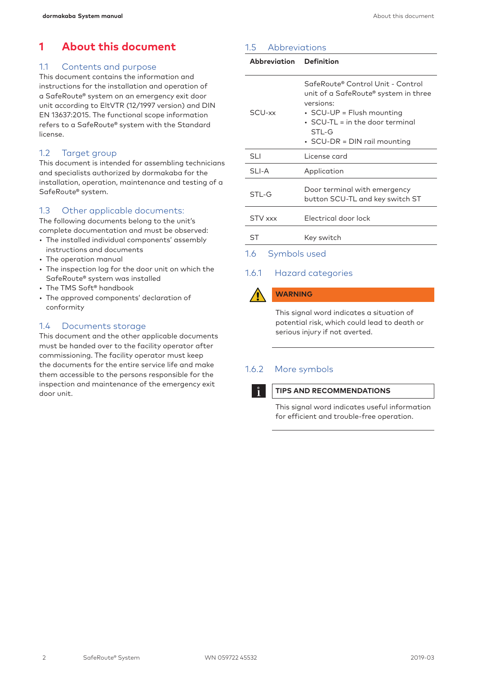### <span id="page-1-0"></span>**1 About this document**

### 1.1 Contents and purpose

This document contains the information and instructions for the installation and operation of a SafeRoute® system on an emergency exit door unit according to EltVTR (12/1997 version) and DIN EN 13637:2015. The functional scope information refers to a SafeRoute® system with the Standard license.

### 1.2 Target group

This document is intended for assembling technicians and specialists authorized by dormakaba for the installation, operation, maintenance and testing of a SafeRoute® system.

### 1.3 Other applicable documents:

The following documents belong to the unit's complete documentation and must be observed:

- The installed individual components' assembly instructions and documents
- The operation manual
- The inspection log for the door unit on which the SafeRoute® system was installed
- The TMS Soft<sup>®</sup> handbook
- The approved components' declaration of conformity

### 1.4 Documents storage

This document and the other applicable documents must be handed over to the facility operator after commissioning. The facility operator must keep the documents for the entire service life and make them accessible to the persons responsible for the inspection and maintenance of the emergency exit door unit.

### 1.5 Abbreviations

### **Abbreviation Definition**

| SCU-xx     | SafeRoute® Control Unit - Control<br>unit of a SafeRoute® system in three<br>versions:<br>$\cdot$ SCU-UP = Flush mounting<br>$\cdot$ SCU-TL = in the door terminal<br>STL-G<br>$\cdot$ SCU-DR = DIN rail mounting |
|------------|-------------------------------------------------------------------------------------------------------------------------------------------------------------------------------------------------------------------|
| <b>SLI</b> | License card                                                                                                                                                                                                      |
| SLI-A      | Application                                                                                                                                                                                                       |
| STL-G      | Door terminal with emergency<br>button SCU-TL and key switch ST                                                                                                                                                   |
| STV xxx    | Electrical door lock                                                                                                                                                                                              |
| ST         | Key switch                                                                                                                                                                                                        |
|            |                                                                                                                                                                                                                   |

1.6 Symbols used

### 1.6.1 Hazard categories

### **WARNING**

This signal word indicates a situation of potential risk, which could lead to death or serious injury if not averted.

### 1.6.2 More symbols



### **TIPS AND RECOMMENDATIONS**

This signal word indicates useful information for efficient and trouble-free operation.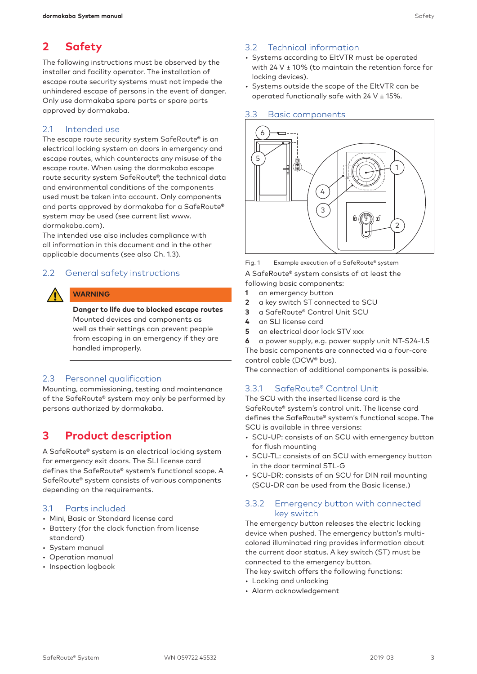### <span id="page-2-0"></span>**2 Safety**

The following instructions must be observed by the installer and facility operator. The installation of escape route security systems must not impede the unhindered escape of persons in the event of danger. Only use dormakaba spare parts or spare parts approved by dormakaba.

### 2.1 Intended use

The escape route security system SafeRoute® is an electrical locking system on doors in emergency and escape routes, which counteracts any misuse of the escape route. When using the dormakaba escape route security system SafeRoute®, the technical data and environmental conditions of the components used must be taken into account. Only components and parts approved by dormakaba for a SafeRoute® system may be used (see current list www. dormakaba.com).

The intended use also includes compliance with all information in this document and in the other applicable documents (see also Ch. 1.3).

### 2.2 General safety instructions



### **WARNING**

**Danger to life due to blocked escape routes** Mounted devices and components as well as their settings can prevent people from escaping in an emergency if they are handled improperly.

### 2.3 Personnel qualification

Mounting, commissioning, testing and maintenance of the SafeRoute® system may only be performed by persons authorized by dormakaba.

### **3 Product description**

A SafeRoute® system is an electrical locking system for emergency exit doors. The SLI license card defines the SafeRoute® system's functional scope. A SafeRoute® system consists of various components depending on the requirements.

### 3.1 Parts included

- Mini, Basic or Standard license card
- Battery (for the clock function from license standard)
- System manual
- Operation manual
- Inspection logbook

### 3.2 Technical information

- Systems according to EltVTR must be operated with 24 V  $\pm$  10% (to maintain the retention force for locking devices).
- Systems outside the scope of the EltVTR can be operated functionally safe with  $24 V \pm 15\%$ .

#### 3.3 Basic components



Fig. 1 Example execution of a SafeRoute® system A SafeRoute® system consists of at least the following basic components:

- **1** an emergency button
- **2** a key switch ST connected to SCU
- **3** a SafeRoute® Control Unit SCU
- **4** an SLI license card
- **5** an electrical door lock STV xxx

**6** a power supply, e.g. power supply unit NT-S24-1.5 The basic components are connected via a four-core control cable (DCW® bus).

The connection of additional components is possible.

### 3.3.1 SafeRoute® Control Unit

The SCU with the inserted license card is the SafeRoute® system's control unit. The license card defines the SafeRoute® system's functional scope. The SCU is available in three versions:

- SCU-UP: consists of an SCU with emergency button for flush mounting
- SCU-TL: consists of an SCU with emergency button in the door terminal STL-G
- SCU-DR: consists of an SCU for DIN rail mounting (SCU-DR can be used from the Basic license.)

#### 3.3.2 Emergency button with connected key switch

The emergency button releases the electric locking device when pushed. The emergency button's multicolored illuminated ring provides information about the current door status. A key switch (ST) must be connected to the emergency button.

The key switch offers the following functions:

- Locking and unlocking
- Alarm acknowledgement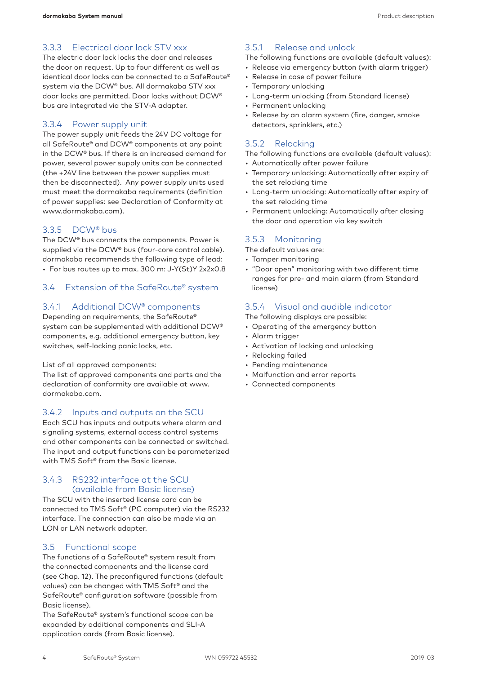### <span id="page-3-0"></span>3.3.3 Electrical door lock STV xxx

The electric door lock locks the door and releases the door on request. Up to four different as well as identical door locks can be connected to a SafeRoute® system via the DCW® bus. All dormakaba STV xxx door locks are permitted. Door locks without DCW® bus are integrated via the STV-A adapter.

### 3.3.4 Power supply unit

The power supply unit feeds the 24V DC voltage for all SafeRoute® and DCW® components at any point in the DCW® bus. If there is an increased demand for power, several power supply units can be connected (the +24V line between the power supplies must then be disconnected). Any power supply units used must meet the dormakaba requirements (definition of power supplies: see Declaration of Conformity at www.dormakaba.com).

### 3.3.5 DCW® bus

The DCW® bus connects the components. Power is supplied via the DCW® bus (four-core control cable). dormakaba recommends the following type of lead: • For bus routes up to max. 300 m: J-Y(St)Y 2x2x0.8

### 3.4 Extension of the SafeRoute® system

### 3.4.1 Additional DCW® components

Depending on requirements, the SafeRoute® system can be supplemented with additional DCW® components, e.g. additional emergency button, key switches, self-locking panic locks, etc.

#### List of all approved components:

The list of approved components and parts and the declaration of conformity are available at www. dormakaba.com.

### 3.4.2 Inputs and outputs on the SCU

Each SCU has inputs and outputs where alarm and signaling systems, external access control systems and other components can be connected or switched. The input and output functions can be parameterized with TMS Soft® from the Basic license.

#### 3.4.3 RS232 interface at the SCU (available from Basic license)

The SCU with the inserted license card can be connected to TMS Soft® (PC computer) via the RS232 interface. The connection can also be made via an LON or LAN network adapter.

### 3.5 Functional scope

The functions of a SafeRoute® system result from the connected components and the license card (see Chap. [12\)](#page-12-1). The preconfigured functions (default values) can be changed with TMS Soft® and the SafeRoute® configuration software (possible from Basic license).

The SafeRoute® system's functional scope can be expanded by additional components and SLI-A application cards (from Basic license).

### 3.5.1 Release and unlock

The following functions are available (default values):

- Release via emergency button (with alarm trigger)
- Release in case of power failure
- Temporary unlocking
- Long-term unlocking (from Standard license)
- Permanent unlocking
- Release by an alarm system (fire, danger, smoke detectors, sprinklers, etc.)

### 3.5.2 Relocking

The following functions are available (default values):

- Automatically after power failure
- Temporary unlocking: Automatically after expiry of the set relocking time
- Long-term unlocking: Automatically after expiry of the set relocking time
- Permanent unlocking: Automatically after closing the door and operation via key switch

### 3.5.3 Monitoring

The default values are:

- Tamper monitoring
- "Door open" monitoring with two different time ranges for pre- and main alarm (from Standard license)

### 3.5.4 Visual and audible indicator

The following displays are possible:

- Operating of the emergency button
- Alarm trigger
- Activation of locking and unlocking
- Relocking failed
- Pending maintenance
- Malfunction and error reports
- Connected components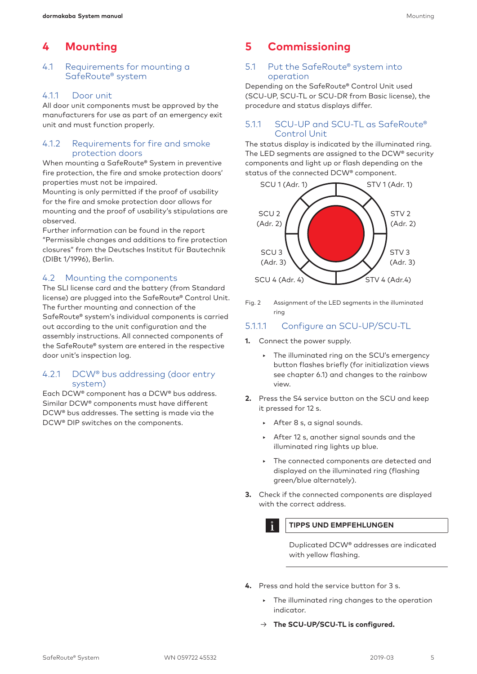### <span id="page-4-0"></span>**4 Mounting**

### 4.1 Requirements for mounting a SafeRoute® system

### 4.11 Door unit

All door unit components must be approved by the manufacturers for use as part of an emergency exit unit and must function properly.

#### 4.1.2 Requirements for fire and smoke protection doors

When mounting a SafeRoute® System in preventive fire protection, the fire and smoke protection doors' properties must not be impaired.

Mounting is only permitted if the proof of usability for the fire and smoke protection door allows for mounting and the proof of usability's stipulations are observed.

Further information can be found in the report "Permissible changes and additions to fire protection closures" from the Deutsches Institut für Bautechnik (DIBt 1/1996), Berlin.

### 4.2 Mounting the components

The SLI license card and the battery (from Standard license) are plugged into the SafeRoute® Control Unit. The further mounting and connection of the SafeRoute® system's individual components is carried out according to the unit configuration and the assembly instructions. All connected components of the SafeRoute® system are entered in the respective door unit's inspection log.

### 4.2.1 DCW® bus addressing (door entry system)

Each DCW® component has a DCW® bus address. Similar DCW® components must have different DCW® bus addresses. The setting is made via the DCW® DIP switches on the components.

### **5 Commissioning**

#### 5.1 Put the SafeRoute® system into operation

Depending on the SafeRoute® Control Unit used (SCU-UP, SCU-TL or SCU-DR from Basic license), the procedure and status displays differ.

### 5.1.1 SCU-UP and SCU-TL as SafeRoute® Control Unit

The status display is indicated by the illuminated ring. The LED segments are assigned to the DCW® security components and light up or flash depending on the status of the connected DCW® component.



Fig. 2 Assignment of the LED segments in the illuminated ring

### 5.1.1.1 Configure an SCU-UP/SCU-TL

- **1.** Connect the power supply.
	- ‣ The illuminated ring on the SCU's emergency button flashes briefly (for initialization views see chapter 6.1) and changes to the rainbow view.
- **2.** Press the S4 service button on the SCU and keep it pressed for 12 s.
	- ‣ After 8 s, a signal sounds.
	- ‣ After 12 s, another signal sounds and the illuminated ring lights up blue.
	- ‣ The connected components are detected and displayed on the illuminated ring (flashing green/blue alternately).
- **3.** Check if the connected components are displayed with the correct address.

#### **TIPPS UND EMPFEHLUNGEN**

Duplicated DCW® addresses are indicated with yellow flashing.

- **4.** Press and hold the service button for 3 s.
	- ‣ The illuminated ring changes to the operation indicator.
	- → **The SCU-UP/SCU-TL is configured.**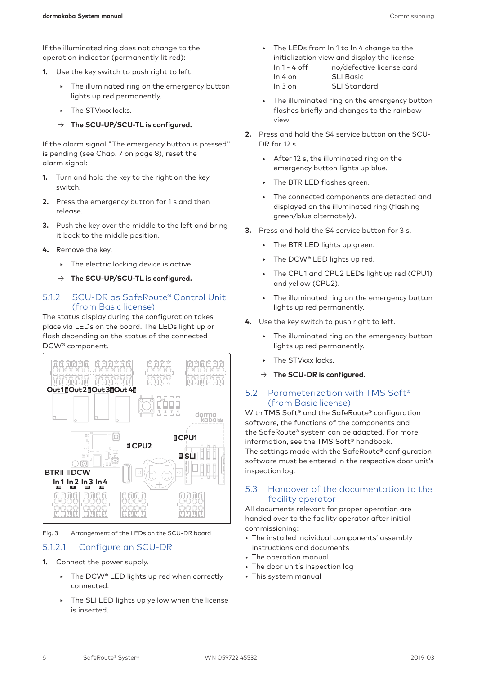<span id="page-5-0"></span>If the illuminated ring does not change to the operation indicator (permanently lit red):

- **1.** Use the key switch to push right to left.
	- ‣ The illuminated ring on the emergency button lights up red permanently.
	- The STVxxx locks.
	- → **The SCU-UP/SCU-TL is configured.**

If the alarm signal "The emergency button is pressed" is pending (see Chap. [7 on page 8\)](#page-7-1), reset the alarm signal:

- **1.** Turn and hold the key to the right on the key switch.
- **2.** Press the emergency button for 1 s and then release.
- **3.** Push the key over the middle to the left and bring it back to the middle position.
- **4.** Remove the key.
	- ‣ The electric locking device is active.
	- → **The SCU-UP/SCU-TL is configured.**

### 5.1.2 SCU-DR as SafeRoute® Control Unit (from Basic license)

The status display during the configuration takes place via LEDs on the board. The LEDs light up or flash depending on the status of the connected DCW® component.



Fig. 3 Arrangement of the LEDs on the SCU-DR board

### 5.1.2.1 Configure an SCU-DR

- **1.** Connect the power supply.
	- ‣ The DCW® LED lights up red when correctly connected.
	- The SLI LED lights up yellow when the license is inserted.
- ‣ The LEDs from In 1 to In 4 change to the initialization view and display the license. In 1 - 4 off no/defective license card In 4 on SLI Basic In 3 on SLI Standard
- ‣ The illuminated ring on the emergency button flashes briefly and changes to the rainbow view.
- **2.** Press and hold the S4 service button on the SCU-DR for 12 s.
	- ‣ After 12 s, the illuminated ring on the emergency button lights up blue.
	- ‣ The BTR LED flashes green.
	- ‣ The connected components are detected and displayed on the illuminated ring (flashing green/blue alternately).
- **3.** Press and hold the S4 service button for 3 s.
	- ‣ The BTR LED lights up green.
	- ‣ The DCW® LED lights up red.
	- ‣ The CPU1 and CPU2 LEDs light up red (CPU1) and yellow (CPU2).
	- ‣ The illuminated ring on the emergency button lights up red permanently.
- **4.** Use the key switch to push right to left.
	- ‣ The illuminated ring on the emergency button lights up red permanently.
	- The STVxxx locks.
	- → **The SCU-DR is configured.**

### 5.2 Parameterization with TMS Soft® (from Basic license)

With TMS Soft® and the SafeRoute® configuration software, the functions of the components and the SafeRoute® system can be adapted. For more information, see the TMS Soft® handbook. The settings made with the SafeRoute® configuration

software must be entered in the respective door unit's inspection log.

### 5.3 Handover of the documentation to the facility operator

All documents relevant for proper operation are handed over to the facility operator after initial commissioning:

- The installed individual components' assembly instructions and documents
- The operation manual
- The door unit's inspection log
- This system manual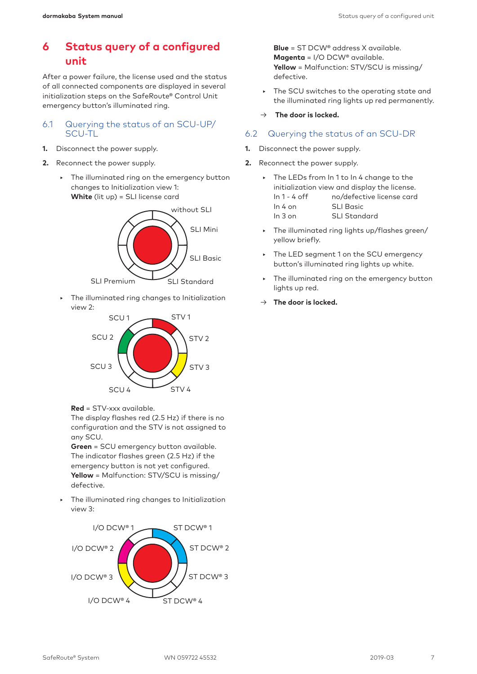### <span id="page-6-0"></span>**6 Status query of a configured unit**

After a power failure, the license used and the status of all connected components are displayed in several initialization steps on the SafeRoute® Control Unit emergency button's illuminated ring.

### 6.1 Querying the status of an SCU-UP/ SCU-TL

- **1.** Disconnect the power supply.
- **2.** Reconnect the power supply.
	- ‣ The illuminated ring on the emergency button changes to Initialization view 1: **White** (lit up) = SLI license card



‣ The illuminated ring changes to Initialization view 2:



**Red** = STV-xxx available.

The display flashes red (2.5 Hz) if there is no configuration and the STV is not assigned to any SCU.

**Green** = SCU emergency button available. The indicator flashes green (2.5 Hz) if the emergency button is not yet configured. **Yellow** = Malfunction: STV/SCU is missing/ defective.

‣ The illuminated ring changes to Initialization view 3:



**Blue** = ST DCW® address X available. **Magenta** = I/O DCW® available. **Yellow** = Malfunction: STV/SCU is missing/ defective.

- ‣ The SCU switches to the operating state and the illuminated ring lights up red permanently.
- The door is locked.

### 6.2 Querying the status of an SCU-DR

- **1.** Disconnect the power supply.
- **2.** Reconnect the power supply.
	- ‣ The LEDs from In 1 to In 4 change to the initialization view and display the license. In 1 - 4 off no/defective license card In 4 on SLI Basic In 3 on SLI Standard
	- ‣ The illuminated ring lights up/flashes green/ yellow briefly.
	- The LED segment 1 on the SCU emergency button's illuminated ring lights up white.
	- The illuminated ring on the emergency button lights up red.
	- $\rightarrow$  The door is locked.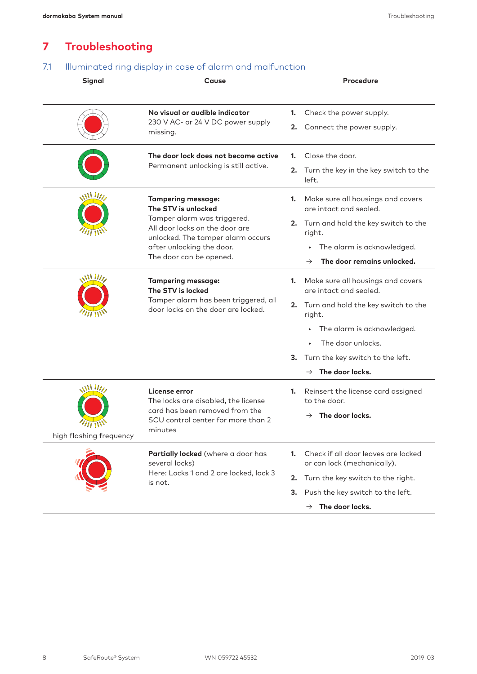## <span id="page-7-1"></span><span id="page-7-0"></span>**7 Troubleshooting**

### 7.1 Illuminated ring display in case of alarm and malfunction

| <b>Signal</b>           | Cause                                                                                                                                                                                                          | Procedure                                                                                                                                                                                                                                                 |  |  |
|-------------------------|----------------------------------------------------------------------------------------------------------------------------------------------------------------------------------------------------------------|-----------------------------------------------------------------------------------------------------------------------------------------------------------------------------------------------------------------------------------------------------------|--|--|
|                         | No visual or audible indicator<br>230 V AC- or 24 V DC power supply<br>missing.                                                                                                                                | 1.<br>Check the power supply.<br>2.<br>Connect the power supply.                                                                                                                                                                                          |  |  |
|                         | The door lock does not become active<br>Permanent unlocking is still active.                                                                                                                                   | Close the door.<br>1.<br>2.<br>Turn the key in the key switch to the<br>left.                                                                                                                                                                             |  |  |
| WU <i>WA</i>            | <b>Tampering message:</b><br>The STV is unlocked<br>Tamper alarm was triggered.<br>All door locks on the door are<br>unlocked. The tamper alarm occurs<br>after unlocking the door.<br>The door can be opened. | Make sure all housings and covers<br>1.<br>are intact and sealed.<br>Turn and hold the key switch to the<br>2.<br>right.<br>The alarm is acknowledged.<br>Þ.<br>The door remains unlocked.<br>$\rightarrow$                                               |  |  |
| $\frac{1}{2}$           | <b>Tampering message:</b><br>The STV is locked<br>Tamper alarm has been triggered, all<br>door locks on the door are locked.                                                                                   | Make sure all housings and covers<br>1.<br>are intact and sealed.<br>2. Turn and hold the key switch to the<br>right.<br>The alarm is acknowledged.<br>The door unlocks.<br>k.<br>Turn the key switch to the left.<br>З.<br>$\rightarrow$ The door locks. |  |  |
| high flashing frequency | License error<br>The locks are disabled, the license<br>card has been removed from the<br>SCU control center for more than 2<br>minutes                                                                        | Reinsert the license card assigned<br>1.<br>to the door.<br>The door locks.<br>$\rightarrow$                                                                                                                                                              |  |  |
|                         | Partially locked (where a door has<br>several locks)<br>Here: Locks 1 and 2 are locked, lock 3<br>is not.                                                                                                      | Check if all door leaves are locked<br>1.<br>or can lock (mechanically).<br>Turn the key switch to the right.<br>2.<br>Push the key switch to the left.<br>З.<br>The door locks.<br>$\rightarrow$                                                         |  |  |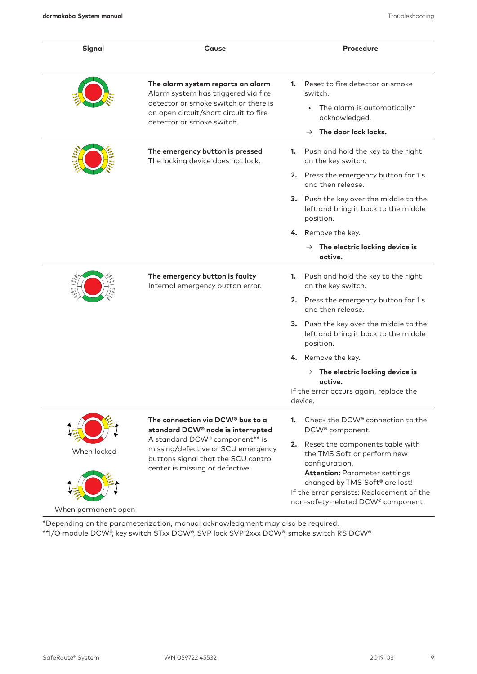| <b>Signal</b> | Cause                                                                                                                                                                                  | Procedure                                                                                                                   |  |  |  |
|---------------|----------------------------------------------------------------------------------------------------------------------------------------------------------------------------------------|-----------------------------------------------------------------------------------------------------------------------------|--|--|--|
|               | The alarm system reports an alarm<br>Alarm system has triggered via fire<br>detector or smoke switch or there is<br>an open circuit/short circuit to fire<br>detector or smoke switch. | Reset to fire detector or smoke<br>1.<br>switch.<br>The alarm is automatically*<br>acknowledged.                            |  |  |  |
|               |                                                                                                                                                                                        | The door lock locks.<br>$\rightarrow$                                                                                       |  |  |  |
|               | The emergency button is pressed<br>The locking device does not lock.                                                                                                                   | Push and hold the key to the right<br>1.<br>on the key switch.                                                              |  |  |  |
|               |                                                                                                                                                                                        | 2. Press the emergency button for 1s<br>and then release.                                                                   |  |  |  |
|               |                                                                                                                                                                                        | 3. Push the key over the middle to the<br>left and bring it back to the middle<br>position.                                 |  |  |  |
|               |                                                                                                                                                                                        | 4. Remove the key.                                                                                                          |  |  |  |
|               |                                                                                                                                                                                        | $\rightarrow$ The electric locking device is<br>active.                                                                     |  |  |  |
|               | The emergency button is faulty<br>Internal emergency button error.                                                                                                                     | Push and hold the key to the right<br>1.<br>on the key switch.                                                              |  |  |  |
|               |                                                                                                                                                                                        | 2. Press the emergency button for 1s<br>and then release.                                                                   |  |  |  |
|               |                                                                                                                                                                                        | 3. Push the key over the middle to the<br>left and bring it back to the middle<br>position.                                 |  |  |  |
|               |                                                                                                                                                                                        | 4. Remove the key.                                                                                                          |  |  |  |
|               |                                                                                                                                                                                        | $\rightarrow$ The electric locking device is<br>active.<br>If the error occurs again, replace the<br>device.                |  |  |  |
|               | The connection via DCW® bus to a<br>standard DCW <sup>®</sup> node is interrupted                                                                                                      | Check the DCW® connection to the<br>1.<br>DCW <sup>®</sup> component.                                                       |  |  |  |
| When locked   | A standard DCW® component** is<br>missing/defective or SCU emergency<br>buttons signal that the SCU control<br>center is missing or defective.                                         | 2. Reset the components table with<br>the TMS Soft or perform new<br>configuration.<br><b>Attention: Parameter settings</b> |  |  |  |
|               |                                                                                                                                                                                        | changed by TMS Soft® are lost!<br>If the error persists: Replacement of the<br>non-safety-related DCW® component.           |  |  |  |

When permanent open

\*Depending on the parameterization, manual acknowledgment may also be required.

\*\*I/O module DCW®, key switch STxx DCW®, SVP lock SVP 2xxx DCW®, smoke switch RS DCW®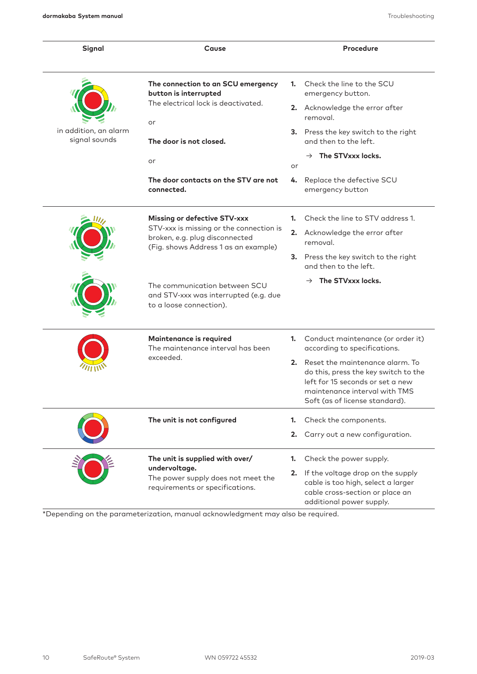| <b>Signal</b>                          | Cause                                                                                                             | <b>Procedure</b>                                                                                                                                                                  |  |  |
|----------------------------------------|-------------------------------------------------------------------------------------------------------------------|-----------------------------------------------------------------------------------------------------------------------------------------------------------------------------------|--|--|
|                                        | The connection to an SCU emergency<br>button is interrupted                                                       | Check the line to the SCU<br>1.<br>emergency button.                                                                                                                              |  |  |
|                                        | The electrical lock is deactivated.<br>or                                                                         | 2. Acknowledge the error after<br>removal.                                                                                                                                        |  |  |
| in addition, an alarm<br>signal sounds | The door is not closed.                                                                                           | 3. Press the key switch to the right<br>and then to the left.                                                                                                                     |  |  |
|                                        | or                                                                                                                | The STVxxx locks.<br>$\rightarrow$<br>or                                                                                                                                          |  |  |
|                                        | The door contacts on the STV are not<br>connected.                                                                | Replace the defective SCU<br>4.<br>emergency button                                                                                                                               |  |  |
|                                        | Missing or defective STV-xxx                                                                                      | Check the line to STV address 1.<br>1.                                                                                                                                            |  |  |
|                                        | STV-xxx is missing or the connection is<br>broken, e.g. plug disconnected<br>(Fig. shows Address 1 as an example) | 2. Acknowledge the error after<br>removal.                                                                                                                                        |  |  |
|                                        |                                                                                                                   | 3. Press the key switch to the right<br>and then to the left.                                                                                                                     |  |  |
|                                        | The communication between SCU<br>and STV-xxx was interrupted (e.g. due<br>to a loose connection).                 | The STVxxx locks.<br>$\rightarrow$                                                                                                                                                |  |  |
|                                        | <b>Maintenance is required</b><br>The maintenance interval has been                                               | Conduct maintenance (or order it)<br>1.<br>according to specifications.                                                                                                           |  |  |
|                                        | exceeded.                                                                                                         | 2. Reset the maintenance alarm. To<br>do this, press the key switch to the<br>left for 15 seconds or set a new<br>maintenance interval with TMS<br>Soft (as of license standard). |  |  |
|                                        | The unit is not configured                                                                                        | Check the components.<br>1.                                                                                                                                                       |  |  |
|                                        |                                                                                                                   | Carry out a new configuration.<br>2.                                                                                                                                              |  |  |
|                                        | The unit is supplied with over/                                                                                   | Check the power supply.<br>1.                                                                                                                                                     |  |  |
|                                        | undervoltage.<br>The power supply does not meet the<br>requirements or specifications.                            | If the voltage drop on the supply<br>2.<br>cable is too high, select a larger<br>cable cross-section or place an<br>additional power supply.                                      |  |  |

\*Depending on the parameterization, manual acknowledgment may also be required.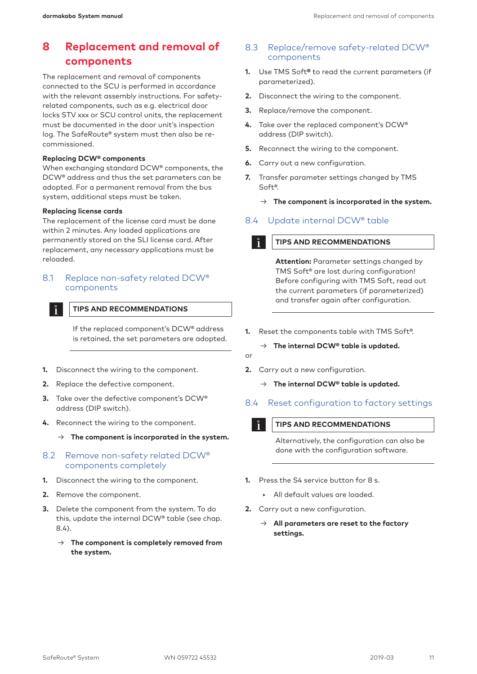### <span id="page-10-0"></span>**8 Replacement and removal of components**

The replacement and removal of components connected to the SCU is performed in accordance with the relevant assembly instructions. For safetyrelated components, such as e.g. electrical door locks STV xxx or SCU control units, the replacement must be documented in the door unit's inspection log. The SafeRoute® system must then also be recommissioned.

#### **Replacing DCW® components**

When exchanging standard DCW® components, the DCW® address and thus the set parameters can be adopted. For a permanent removal from the bus system, additional steps must be taken.

#### **Replacing license cards**

The replacement of the license card must be done within 2 minutes. Any loaded applications are permanently stored on the SLI license card. After replacement, any necessary applications must be reloaded.

### 8.1 Replace non-safety related DCW® components

#### **TIPS AND RECOMMENDATIONS**

If the replaced component's DCW® address is retained, the set parameters are adopted.

- **1.** Disconnect the wiring to the component.
- **2.** Replace the defective component.
- **3.** Take over the defective component's DCW® address (DIP switch).
- **4.** Reconnect the wiring to the component.
	- → **The component is incorporated in the system.**
- 8.2 Remove non-safety related DCW® components completely
- **1.** Disconnect the wiring to the component.
- **2.** Remove the component.
- **3.** Delete the component from the system. To do this, update the internal DCW® table (see chap. [8.4](#page-10-1)).
	- → **The component is completely removed from the system.**

### 8.3 Replace/remove safety-related DCW® components

- **1.** Use TMS Soft**®** to read the current parameters (if parameterized).
- **2.** Disconnect the wiring to the component.
- **3.** Replace/remove the component.
- **4.** Take over the replaced component's DCW® address (DIP switch).
- **5.** Reconnect the wiring to the component.
- **6.** Carry out a new configuration.
- **7.** Transfer parameter settings changed by TMS Soft®.
	- → **The component is incorporated in the system.**

### 8.4 Update internal DCW® table



### <span id="page-10-1"></span>**TIPS AND RECOMMENDATIONS**

**Attention: Parameter settings changed by** TMS Soft® are lost during configuration! Before configuring with TMS Soft, read out the current parameters (if parameterized) and transfer again after configuration.

- **1.** Reset the components table with TMS Soft®.
	- → **The internal DCW® table is updated.**
- or

 $\mathbf{i}$ 

- **2.** Carry out a new configuration.
	- → **The internal DCW® table is updated.**
- 8.4 Reset configuration to factory settings
	- **TIPS AND RECOMMENDATIONS**

Alternatively, the configuration can also be done with the configuration software.

- **1.** Press the S4 service button for 8 s.
	- ‣ All default values are loaded.
- **2.** Carry out a new configuration.
	- → **All parameters are reset to the factory settings.**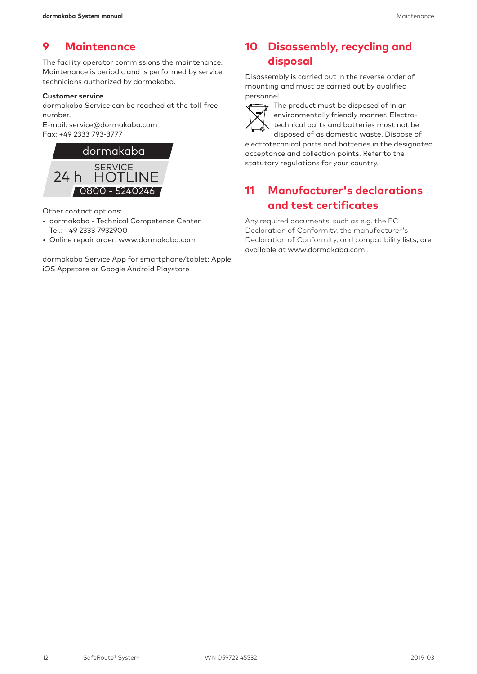### <span id="page-11-0"></span>**9 Maintenance**

The facility operator commissions the maintenance. Maintenance is periodic and is performed by service technicians authorized by dormakaba.

#### **Customer service**

dormakaba Service can be reached at the toll-free number.

E-mail: service@dormakaba.com Fax: +49 2333 793-3777



Other contact options:

- dormakaba Technical Competence Center Tel.: +49 2333 7932900
- Online repair order: www.dormakaba.com

dormakaba Service App for smartphone/tablet: Apple iOS Appstore or Google Android Playstore

### **10 Disassembly, recycling and disposal**

Disassembly is carried out in the reverse order of mounting and must be carried out by qualified personnel.



The product must be disposed of in an environmentally friendly manner. Electrotechnical parts and batteries must not be disposed of as domestic waste. Dispose of

electrotechnical parts and batteries in the designated acceptance and collection points. Refer to the statutory regulations for your country.

### **11 Manufacturer's declarations and test certificates**

Any required documents, such as e.g. the EC Declaration of Conformity, the manufacturer's Declaration of Conformity, and compatibility lists, are available at www.dormakaba.com .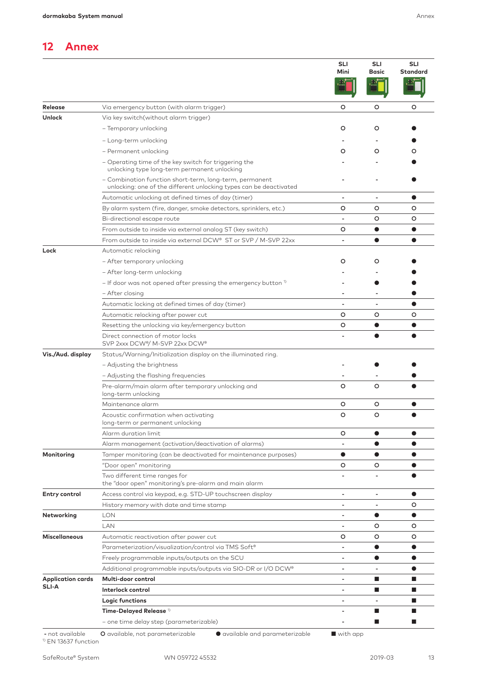<span id="page-12-1"></span><span id="page-12-0"></span>

|                          |                                                                                                                               | <b>SLI</b><br>Mini       | <b>SLI</b><br><b>Basic</b> | SLI<br><b>Standard</b> |
|--------------------------|-------------------------------------------------------------------------------------------------------------------------------|--------------------------|----------------------------|------------------------|
|                          |                                                                                                                               |                          |                            |                        |
| Release                  | Via emergency button (with alarm trigger)                                                                                     | O                        | $\circ$                    | $\circ$                |
| <b>Unlock</b>            | Via key switch(without alarm trigger)                                                                                         |                          |                            |                        |
|                          | - Temporary unlocking                                                                                                         | O                        | O                          |                        |
|                          | - Long-term unlocking                                                                                                         |                          |                            |                        |
|                          | - Permanent unlocking                                                                                                         | O                        | O                          |                        |
|                          | - Operating time of the key switch for triggering the<br>unlocking type long-term permanent unlocking                         |                          |                            |                        |
|                          | - Combination function short-term, long-term, permanent<br>unlocking: one of the different unlocking types can be deactivated |                          |                            |                        |
|                          | Automatic unlocking at defined times of day (timer)                                                                           | $\overline{\phantom{a}}$ |                            |                        |
|                          | By alarm system (fire, danger, smoke detectors, sprinklers, etc.)                                                             | O                        | $\circ$                    | $\circ$                |
|                          | Bi-directional escape route                                                                                                   |                          | $\circ$                    | O                      |
|                          | From outside to inside via external analog ST (key switch)                                                                    | O                        | $\bullet$                  |                        |
|                          | From outside to inside via external DCW® ST or SVP / M-SVP 22xx                                                               |                          |                            |                        |
| Lock                     | Automatic relocking                                                                                                           |                          |                            |                        |
|                          | - After temporary unlocking                                                                                                   | O                        | O                          |                        |
|                          | - After long-term unlocking                                                                                                   |                          |                            |                        |
|                          | $-$ If door was not opened after pressing the emergency button $\sqrt{ }$                                                     |                          |                            |                        |
|                          | - After closing                                                                                                               | ٠                        |                            |                        |
|                          | Automatic locking at defined times of day (timer)                                                                             | $\overline{\phantom{a}}$ | $\overline{\phantom{a}}$   |                        |
|                          | Automatic relocking after power cut                                                                                           | $\circ$                  | $\circ$                    | $\circ$                |
|                          | Resetting the unlocking via key/emergency button                                                                              | $\circ$                  | $\bullet$                  | $\bullet$              |
|                          | Direct connection of motor locks<br>SVP 2xxx DCW®/ M-SVP 22xx DCW®                                                            |                          |                            |                        |
| Vis./Aud. display        | Status/Warning/Initialization display on the illuminated ring.                                                                |                          |                            |                        |
|                          | - Adjusting the brightness                                                                                                    |                          |                            |                        |
|                          | - Adjusting the flashing frequencies                                                                                          |                          |                            |                        |
|                          | Pre-alarm/main alarm after temporary unlocking and<br>long-term unlocking                                                     | $\circ$                  | $\circ$                    |                        |
|                          | Maintenance alarm                                                                                                             | O                        | $\circ$                    |                        |
|                          | Acoustic confirmation when activating<br>long-term or permanent unlocking                                                     | O                        | $\circ$                    |                        |
|                          | Alarm duration limit                                                                                                          | O                        | 0                          |                        |
|                          | Alarm management (activation/deactivation of alarms)                                                                          | $\overline{\phantom{a}}$ | $\bullet$                  |                        |
| Monitoring               | Tamper monitoring (can be deactivated for maintenance purposes)                                                               | $\bullet$                | $\bullet$                  |                        |
|                          | "Door open" monitoring                                                                                                        | $\circ$                  | $\circ$                    |                        |
|                          | Two different time ranges for<br>the "door open" monitoring's pre-alarm and main alarm                                        |                          |                            |                        |
| Entry control            | Access control via keypad, e.g. STD-UP touchscreen display                                                                    | $\overline{\phantom{m}}$ | $\overline{\phantom{a}}$   | ●                      |
|                          | History memory with date and time stamp                                                                                       |                          |                            | O                      |
| Networking               | LON                                                                                                                           | $\overline{\phantom{a}}$ | $\bullet$                  |                        |
|                          | <b>LAN</b>                                                                                                                    |                          | $\circ$                    | O                      |
| <b>Miscellaneous</b>     | Automatic reactivation after power cut                                                                                        | O                        | $\circ$                    | O                      |
|                          | Parameterization/visualization/control via TMS Soft <sup>®</sup>                                                              | $\overline{\phantom{0}}$ |                            |                        |
|                          | Freely programmable inputs/outputs on the SCU                                                                                 | $\overline{\phantom{a}}$ |                            |                        |
|                          | Additional programmable inputs/outputs via SIO-DR or I/O DCW®                                                                 | $\overline{\phantom{a}}$ | $\blacksquare$             |                        |
| <b>Application cards</b> | Multi-door control                                                                                                            | $\overline{a}$           | П                          | П                      |
| <b>SLI-A</b>             | Interlock control                                                                                                             | $\overline{a}$           | <b>Tale</b>                | ш                      |
|                          | Logic functions                                                                                                               |                          |                            | ■                      |
|                          | Time-Delayed Release <sup>1)</sup>                                                                                            |                          | ш                          |                        |
|                          | - one time delay step (parameterizable)                                                                                       |                          | ш                          | ш                      |
| - not available          | · available and parameterizable<br>O available, not parameterizable                                                           | $\blacksquare$ with app  |                            |                        |

<sup>1)</sup> EN 13637 function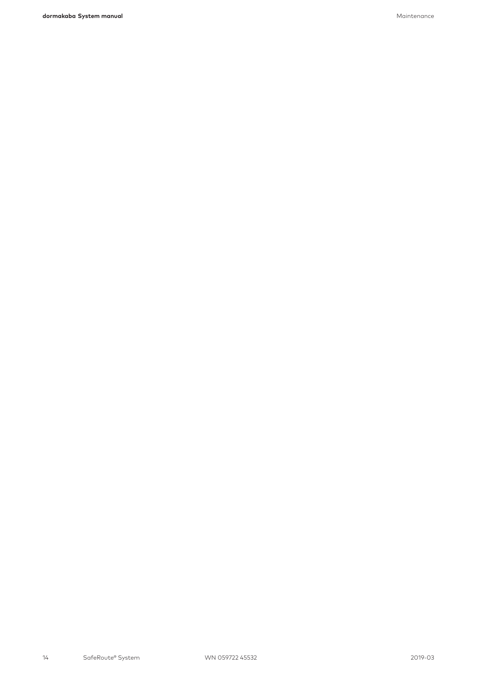**dormakaba System manual** Maintenance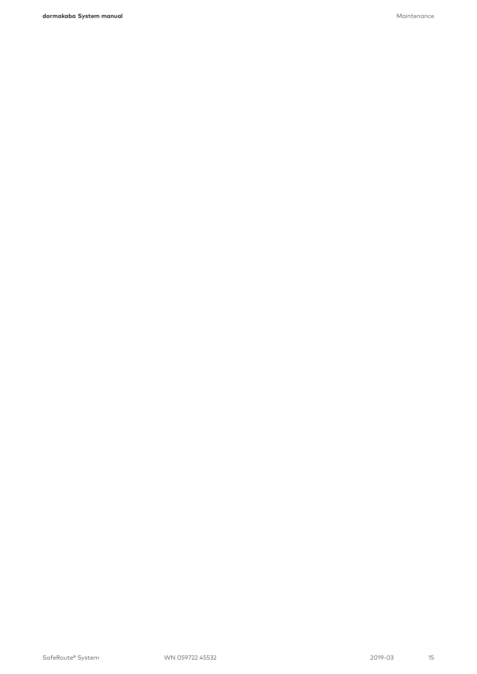**dormakaba System manual** Maintenance